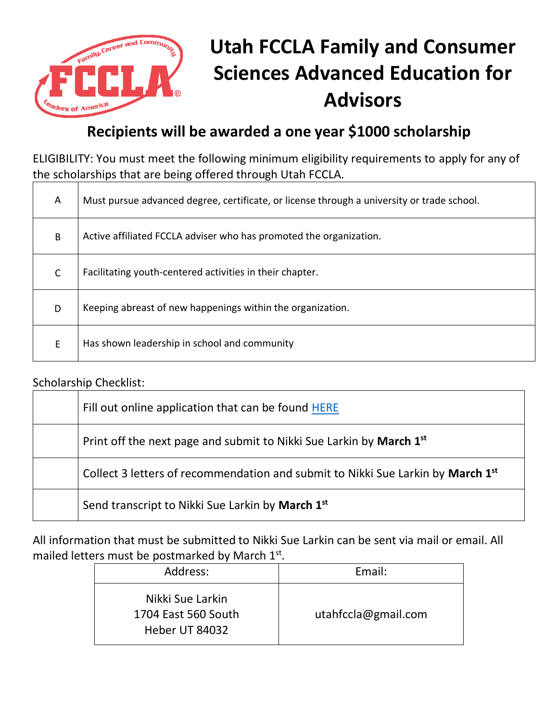

## **Utah FCCLA Family and Consumer Sciences Advanced Education for Advisors**

## **Recipients will be awarded a one year \$1000 scholarship**

ELIGIBILITY: You must meet the following minimum eligibility requirements to apply for any of the scholarships that are being offered through Utah FCCLA.

| A            | Must pursue advanced degree, certificate, or license through a university or trade school. |
|--------------|--------------------------------------------------------------------------------------------|
| B            | Active affiliated FCCLA adviser who has promoted the organization.                         |
| $\mathsf{C}$ | Facilitating youth-centered activities in their chapter.                                   |
| D            | Keeping abreast of new happenings within the organization.                                 |
| E            | Has shown leadership in school and community                                               |

## Scholarship Checklist:

| Fill out online application that can be found HERE                                          |
|---------------------------------------------------------------------------------------------|
| Print off the next page and submit to Nikki Sue Larkin by March 1 <sup>st</sup>             |
| Collect 3 letters of recommendation and submit to Nikki Sue Larkin by March 1 <sup>st</sup> |
| Send transcript to Nikki Sue Larkin by March 1 <sup>st</sup>                                |

All information that must be submitted to Nikki Sue Larkin can be sent via mail or email. All mailed letters must be postmarked by March 1st.

| Address:                                                  | Email:              |
|-----------------------------------------------------------|---------------------|
| Nikki Sue Larkin<br>1704 East 560 South<br>Heber UT 84032 | utahfccla@gmail.com |